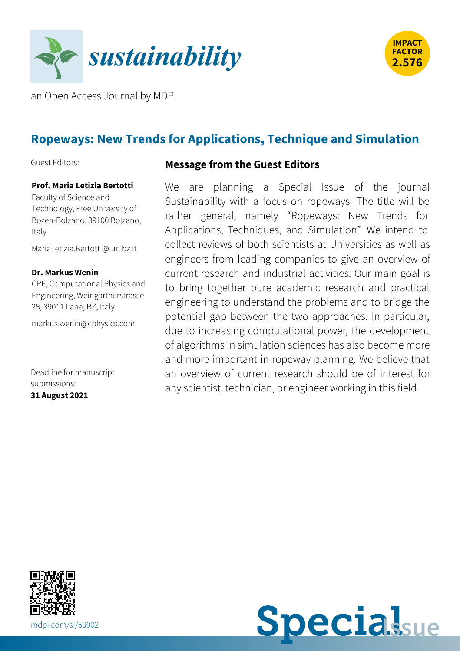



an Open Access Journal by MDPI

# **Ropeways: New Trends for Applications, Technique and Simulation**

Guest Editors:

#### **Prof. Maria Letizia Bertotti**

Faculty of Science and Technology, Free University of Bozen-Bolzano, 39100 Bolzano, Italy

[MariaLetizia.Bertotti@](mailto:MariaLetizia.Bertotti@unibz.it) unibz.it

#### **Dr. Markus Wenin**

CPE, Computational Physics and Engineering, Weingartnerstrasse 28, 39011 Lana, BZ, Italy

[markus.wenin@cphysics.com](mailto:markus.wenin@cphysics.com)

Deadline for manuscript submissions: **31 August 2021**

#### **Message from the Guest Editors**

We are planning a Special Issue of the journal Sustainability with a focus on ropeways. The title will be rather general, namely "Ropeways: New Trends for Applications, Techniques, and Simulation". We intend to collect reviews of both scientists at Universities as well as engineers from leading companies to give an overview of current research and industrial activities. Our main goal is to bring together pure academic research and practical engineering to understand the problems and to bridge the potential gap between the two approaches. In particular, due to increasing computational power, the development of algorithms in simulation sciences has also become more and more important in ropeway planning. We believe that an overview of current research should be of interest for any scientist, technician, or engineer working in this field.